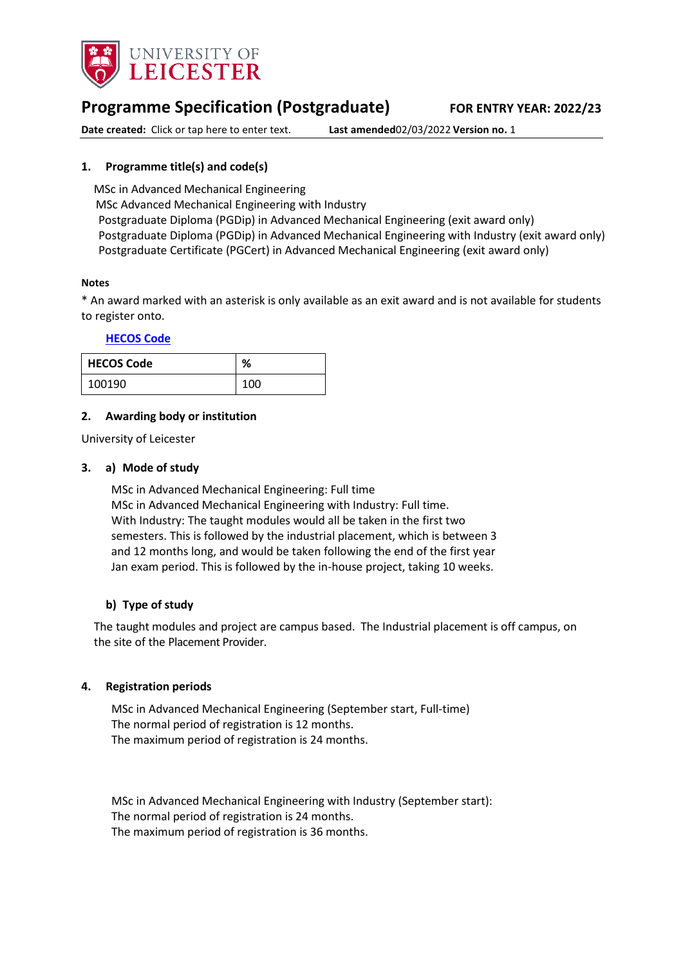

# **Programme Specification (Postgraduate) FOR ENTRY YEAR: 2022/23**

**Date created:** Click or tap here to enter text. **Last amended**02/03/2022 **Version no.** 1

### <span id="page-0-0"></span>**1. Programme title(s) and code(s)**

MSc in Advanced Mechanical Engineering MSc Advanced Mechanical Engineering with Industry Postgraduate Diploma (PGDip) in Advanced Mechanical Engineering (exit award only) Postgraduate Diploma (PGDip) in Advanced Mechanical Engineering with Industry (exit award only) Postgraduate Certificate (PGCert) in Advanced Mechanical Engineering (exit award only)

#### **Notes**

\* An award marked with an asterisk is only available as an exit award and is not available for students to register onto.

#### **[HECOS Code](https://www.hesa.ac.uk/innovation/hecos)**

| <b>HECOS Code</b> | ℅   |
|-------------------|-----|
| 100190            | 100 |

### **2. Awarding body or institution**

University of Leicester

#### **3. a) Mode of study**

MSc in Advanced Mechanical Engineering: Full time MSc in Advanced Mechanical Engineering with Industry: Full time. With Industry: The taught modules would all be taken in the first two semesters. This is followed by the industrial placement, which is between 3 and 12 months long, and would be taken following the end of the first year Jan exam period. This is followed by the in-house project, taking 10 weeks.

### **b) Type of study**

The taught modules and project are campus based. The Industrial placement is off campus, on the site of the Placement Provider.

### **4. Registration periods**

MSc in Advanced Mechanical Engineering (September start, Full-time) The normal period of registration is 12 months. The maximum period of registration is 24 months.

MSc in Advanced Mechanical Engineering with Industry (September start): The normal period of registration is 24 months. The maximum period of registration is 36 months.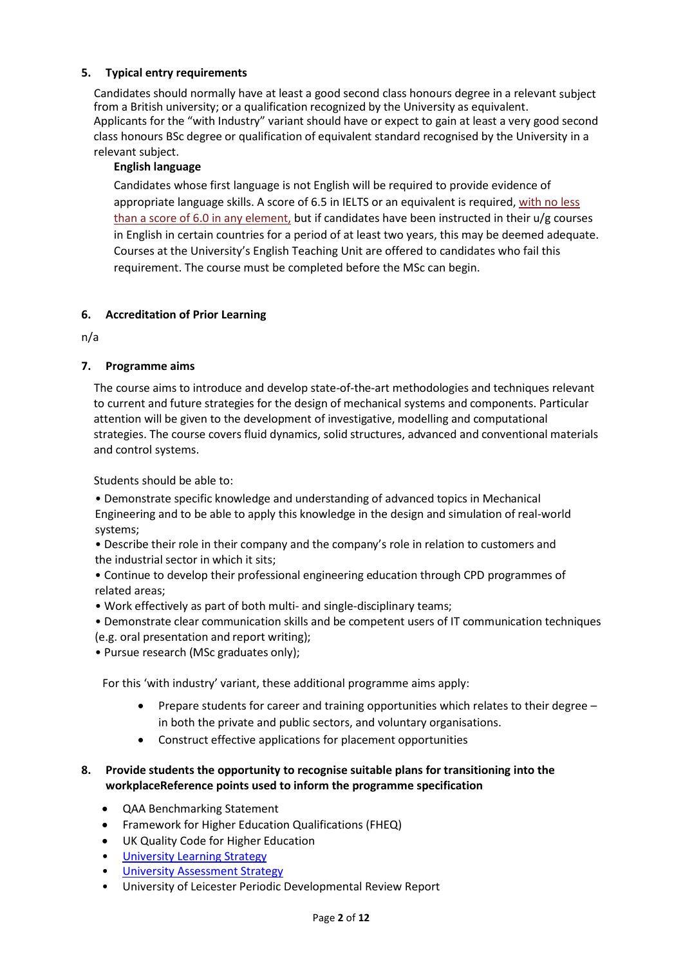# **5. Typical entry requirements**

Candidates should normally have at least a good second class honours degree in a relevant subject from a British university; or a qualification recognized by the University as equivalent. Applicants for the "with Industry" variant should have or expect to gain at least a very good second class honours BSc degree or qualification of equivalent standard recognised by the University in a relevant subject.

### **English language**

Candidates whose first language is not English will be required to provide evidence of appropriate language skills. A score of 6.5 in IELTS or an equivalent is required, with no less than a score of 6.0 in any element, but if candidates have been instructed in their  $u/g$  courses in English in certain countries for a period of at least two years, this may be deemed adequate. Courses at the University's English Teaching Unit are offered to candidates who fail this requirement. The course must be completed before the MSc can begin.

### **6. Accreditation of Prior Learning**

n/a

### **7. Programme aims**

The course aims to introduce and develop state-of-the-art methodologies and techniques relevant to current and future strategies for the design of mechanical systems and components. Particular attention will be given to the development of investigative, modelling and computational strategies. The course covers fluid dynamics, solid structures, advanced and conventional materials and control systems.

Students should be able to:

• Demonstrate specific knowledge and understanding of advanced topics in Mechanical Engineering and to be able to apply this knowledge in the design and simulation of real-world systems;

• Describe their role in their company and the company's role in relation to customers and the industrial sector in which it sits;

• Continue to develop their professional engineering education through CPD programmes of related areas;

• Work effectively as part of both multi- and single-disciplinary teams;

• Demonstrate clear communication skills and be competent users of IT communication techniques (e.g. oral presentation and report writing);

• Pursue research (MSc graduates only);

For this 'with industry' variant, these additional programme aims apply:

- Prepare students for career and training opportunities which relates to their degree in both the private and public sectors, and voluntary organisations.
- Construct effective applications for placement opportunities

# **8. Provide students the opportunity to recognise suitable plans for transitioning into the workplaceReference points used to inform the programme specification**

- QAA Benchmarking Statement
- Framework for Higher Education Qualifications (FHEQ)
- UK Quality Code for Higher Education
- [University Learning](https://www2.le.ac.uk/offices/sas2/quality/learnteach) Strategy
- [University Assessment Strategy](https://www2.le.ac.uk/offices/sas2/quality/learnteach)
- University of Leicester Periodic Developmental Review Report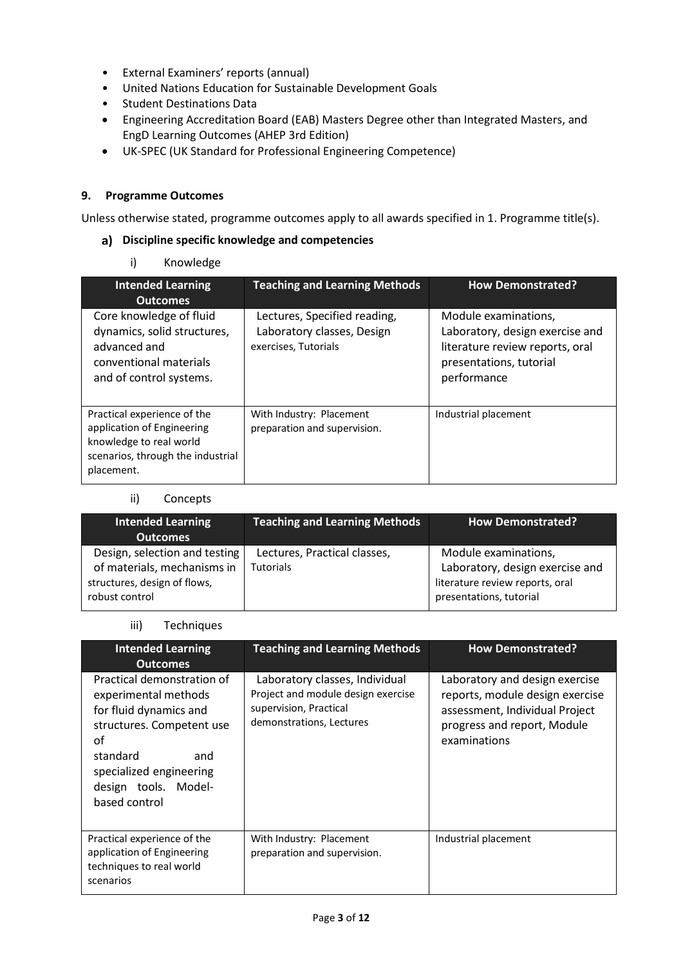- External Examiners' reports (annual)
- United Nations Education for Sustainable Development Goals
- Student Destinations Data
- Engineering Accreditation Board (EAB) Masters Degree other than Integrated Masters, and EngD Learning Outcomes (AHEP 3rd Edition)
- UK-SPEC (UK Standard for Professional Engineering Competence)

### **9. Programme Outcomes**

Unless otherwise stated, programme outcomes apply to all awards specified in [1.](#page-0-0) Programme title(s).

### **Discipline specific knowledge and competencies**

i) Knowledge

| <b>Intended Learning</b><br><b>Outcomes</b>                                                                                             | <b>Teaching and Learning Methods</b>                                               | <b>How Demonstrated?</b>                                                                                                             |
|-----------------------------------------------------------------------------------------------------------------------------------------|------------------------------------------------------------------------------------|--------------------------------------------------------------------------------------------------------------------------------------|
| Core knowledge of fluid<br>dynamics, solid structures,<br>advanced and<br>conventional materials<br>and of control systems.             | Lectures, Specified reading,<br>Laboratory classes, Design<br>exercises, Tutorials | Module examinations,<br>Laboratory, design exercise and<br>literature review reports, oral<br>presentations, tutorial<br>performance |
| Practical experience of the<br>application of Engineering<br>knowledge to real world<br>scenarios, through the industrial<br>placement. | With Industry: Placement<br>preparation and supervision.                           | Industrial placement                                                                                                                 |

### ii) Concepts

| <b>Intended Learning</b><br><b>Outcomes</b>                                                                    | <b>Teaching and Learning Methods</b>             | <b>How Demonstrated?</b>                                                                                              |
|----------------------------------------------------------------------------------------------------------------|--------------------------------------------------|-----------------------------------------------------------------------------------------------------------------------|
| Design, selection and testing<br>of materials, mechanisms in<br>structures, design of flows,<br>robust control | Lectures, Practical classes,<br><b>Tutorials</b> | Module examinations,<br>Laboratory, design exercise and<br>literature review reports, oral<br>presentations, tutorial |

### iii) Techniques

| <b>Intended Learning</b><br><b>Outcomes</b>                                                                                                                                                            | <b>Teaching and Learning Methods</b>                                                                                       | <b>How Demonstrated?</b>                                                                                                                           |
|--------------------------------------------------------------------------------------------------------------------------------------------------------------------------------------------------------|----------------------------------------------------------------------------------------------------------------------------|----------------------------------------------------------------------------------------------------------------------------------------------------|
| Practical demonstration of<br>experimental methods<br>for fluid dynamics and<br>structures. Competent use<br>οf<br>standard<br>and<br>specialized engineering<br>design tools. Model-<br>based control | Laboratory classes, Individual<br>Project and module design exercise<br>supervision, Practical<br>demonstrations, Lectures | Laboratory and design exercise<br>reports, module design exercise<br>assessment, Individual Project<br>progress and report, Module<br>examinations |
| Practical experience of the<br>application of Engineering<br>techniques to real world<br>scenarios                                                                                                     | With Industry: Placement<br>preparation and supervision.                                                                   | Industrial placement                                                                                                                               |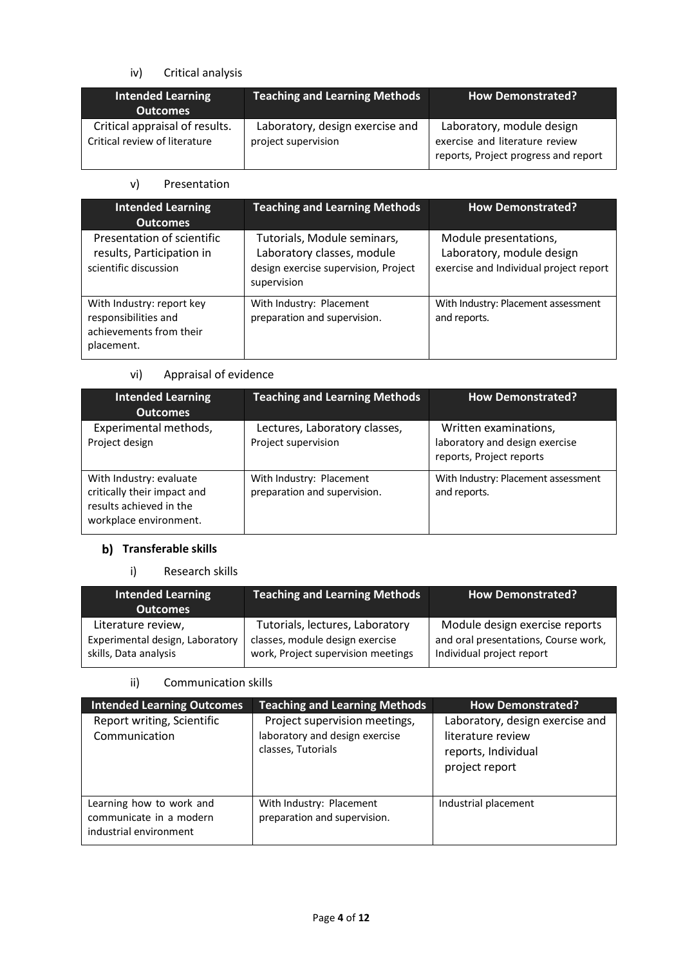# iv) Critical analysis

| Intended Learning<br><b>Outcomes</b>                            | <b>Teaching and Learning Methods</b>                   | <b>How Demonstrated?</b>                                                                            |
|-----------------------------------------------------------------|--------------------------------------------------------|-----------------------------------------------------------------------------------------------------|
| Critical appraisal of results.<br>Critical review of literature | Laboratory, design exercise and<br>project supervision | Laboratory, module design<br>exercise and literature review<br>reports, Project progress and report |

# v) Presentation

| <b>Intended Learning</b><br><b>Outcomes</b>                                                | <b>Teaching and Learning Methods</b>                                                                             | <b>How Demonstrated?</b>                                                                     |
|--------------------------------------------------------------------------------------------|------------------------------------------------------------------------------------------------------------------|----------------------------------------------------------------------------------------------|
| Presentation of scientific<br>results, Participation in<br>scientific discussion           | Tutorials, Module seminars,<br>Laboratory classes, module<br>design exercise supervision, Project<br>supervision | Module presentations,<br>Laboratory, module design<br>exercise and Individual project report |
| With Industry: report key<br>responsibilities and<br>achievements from their<br>placement. | With Industry: Placement<br>preparation and supervision.                                                         | With Industry: Placement assessment<br>and reports.                                          |

# vi) Appraisal of evidence

| <b>Intended Learning</b><br><b>Outcomes</b>                                                                 | <b>Teaching and Learning Methods</b>                     | <b>How Demonstrated?</b>                                                            |
|-------------------------------------------------------------------------------------------------------------|----------------------------------------------------------|-------------------------------------------------------------------------------------|
| Experimental methods,<br>Project design                                                                     | Lectures, Laboratory classes,<br>Project supervision     | Written examinations,<br>laboratory and design exercise<br>reports, Project reports |
| With Industry: evaluate<br>critically their impact and<br>results achieved in the<br>workplace environment. | With Industry: Placement<br>preparation and supervision. | With Industry: Placement assessment<br>and reports.                                 |

# **b)** Transferable skills

# i) Research skills

| <b>Intended Learning</b><br><b>Outcomes</b>              | <b>Teaching and Learning Methods</b>                                  | <b>How Demonstrated?</b>                                          |
|----------------------------------------------------------|-----------------------------------------------------------------------|-------------------------------------------------------------------|
| Literature review,                                       | Tutorials, lectures, Laboratory                                       | Module design exercise reports                                    |
| Experimental design, Laboratory<br>skills, Data analysis | classes, module design exercise<br>work, Project supervision meetings | and oral presentations, Course work,<br>Individual project report |

# ii) Communication skills

| <b>Intended Learning Outcomes</b>                                             | <b>Teaching and Learning Methods</b>                                                  | <b>How Demonstrated?</b>                                                                      |
|-------------------------------------------------------------------------------|---------------------------------------------------------------------------------------|-----------------------------------------------------------------------------------------------|
| Report writing, Scientific<br>Communication                                   | Project supervision meetings,<br>laboratory and design exercise<br>classes, Tutorials | Laboratory, design exercise and<br>literature review<br>reports, Individual<br>project report |
| Learning how to work and<br>communicate in a modern<br>industrial environment | With Industry: Placement<br>preparation and supervision.                              | Industrial placement                                                                          |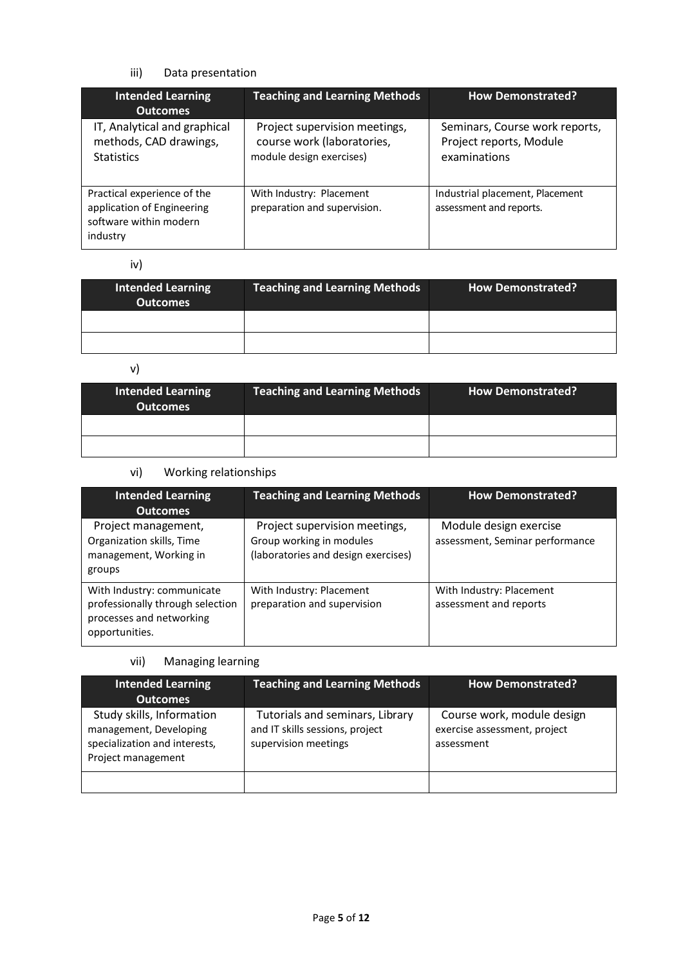# iii) Data presentation

| <b>Intended Learning</b><br><b>Outcomes</b>                                                     | <b>Teaching and Learning Methods</b>                                                    | <b>How Demonstrated?</b>                                                  |
|-------------------------------------------------------------------------------------------------|-----------------------------------------------------------------------------------------|---------------------------------------------------------------------------|
| IT, Analytical and graphical<br>methods, CAD drawings,<br><b>Statistics</b>                     | Project supervision meetings,<br>course work (laboratories,<br>module design exercises) | Seminars, Course work reports,<br>Project reports, Module<br>examinations |
| Practical experience of the<br>application of Engineering<br>software within modern<br>industry | With Industry: Placement<br>preparation and supervision.                                | Industrial placement, Placement<br>assessment and reports.                |

iv)

| Intended Learning<br><b>Outcomes</b> | <b>Teaching and Learning Methods</b> | <b>How Demonstrated?</b> |
|--------------------------------------|--------------------------------------|--------------------------|
|                                      |                                      |                          |
|                                      |                                      |                          |

v)

| <b>Intended Learning</b><br><b>Outcomes</b> | <b>Teaching and Learning Methods</b> | <b>How Demonstrated?</b> |
|---------------------------------------------|--------------------------------------|--------------------------|
|                                             |                                      |                          |
|                                             |                                      |                          |

# vi) Working relationships

| <b>Intended Learning</b><br><b>Outcomes</b>                                                                  | <b>Teaching and Learning Methods</b>                                                             | <b>How Demonstrated?</b>                                  |
|--------------------------------------------------------------------------------------------------------------|--------------------------------------------------------------------------------------------------|-----------------------------------------------------------|
| Project management,<br>Organization skills, Time<br>management, Working in<br>groups                         | Project supervision meetings,<br>Group working in modules<br>(laboratories and design exercises) | Module design exercise<br>assessment, Seminar performance |
| With Industry: communicate<br>professionally through selection<br>processes and networking<br>opportunities. | With Industry: Placement<br>preparation and supervision                                          | With Industry: Placement<br>assessment and reports        |

# vii) Managing learning

| <b>Intended Learning</b><br><b>Outcomes</b>                                                                | <b>Teaching and Learning Methods</b>                                                       | <b>How Demonstrated?</b>                                                 |
|------------------------------------------------------------------------------------------------------------|--------------------------------------------------------------------------------------------|--------------------------------------------------------------------------|
| Study skills, Information<br>management, Developing<br>specialization and interests,<br>Project management | Tutorials and seminars, Library<br>and IT skills sessions, project<br>supervision meetings | Course work, module design<br>exercise assessment, project<br>assessment |
|                                                                                                            |                                                                                            |                                                                          |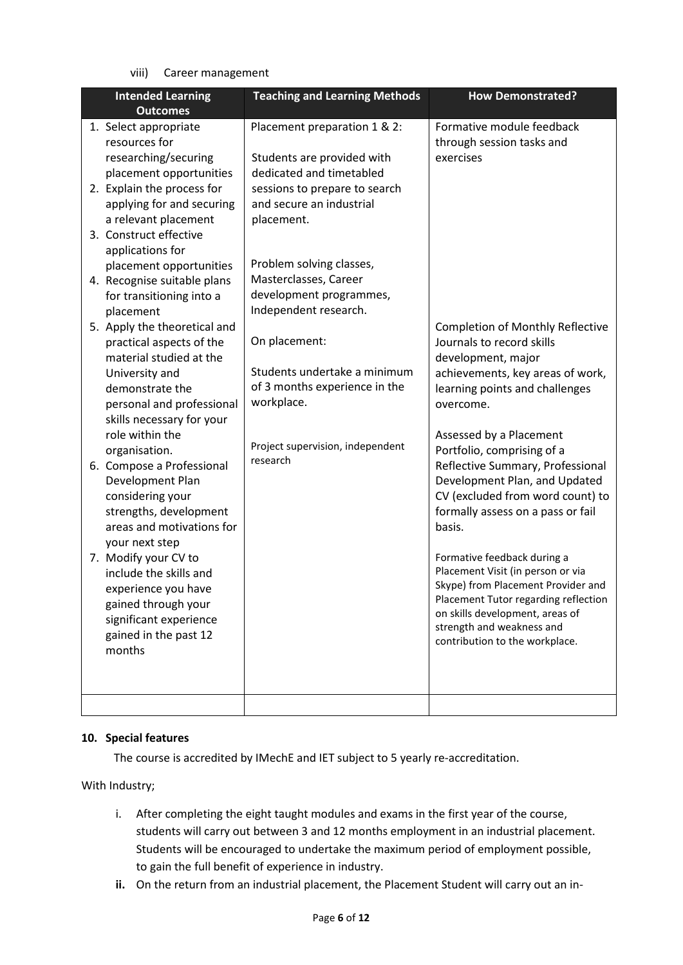viii) Career management

| <b>Intended Learning</b>                      | <b>Teaching and Learning Methods</b>         | <b>How Demonstrated?</b>                                         |
|-----------------------------------------------|----------------------------------------------|------------------------------------------------------------------|
| <b>Outcomes</b>                               |                                              |                                                                  |
| 1. Select appropriate<br>resources for        | Placement preparation 1 & 2:                 | Formative module feedback<br>through session tasks and           |
| researching/securing                          | Students are provided with                   | exercises                                                        |
| placement opportunities                       | dedicated and timetabled                     |                                                                  |
| 2. Explain the process for                    | sessions to prepare to search                |                                                                  |
| applying for and securing                     | and secure an industrial                     |                                                                  |
| a relevant placement                          | placement.                                   |                                                                  |
| 3. Construct effective                        |                                              |                                                                  |
| applications for                              |                                              |                                                                  |
| placement opportunities                       | Problem solving classes,                     |                                                                  |
| 4. Recognise suitable plans                   | Masterclasses, Career                        |                                                                  |
| for transitioning into a                      | development programmes,                      |                                                                  |
| placement                                     | Independent research.                        |                                                                  |
| 5. Apply the theoretical and                  |                                              | <b>Completion of Monthly Reflective</b>                          |
| practical aspects of the                      | On placement:                                | Journals to record skills                                        |
| material studied at the                       |                                              | development, major                                               |
| University and                                | Students undertake a minimum                 | achievements, key areas of work,                                 |
| demonstrate the                               | of 3 months experience in the                | learning points and challenges                                   |
| personal and professional                     | workplace.                                   | overcome.                                                        |
| skills necessary for your                     |                                              |                                                                  |
| role within the                               |                                              | Assessed by a Placement                                          |
| organisation.                                 | Project supervision, independent<br>research | Portfolio, comprising of a                                       |
| 6. Compose a Professional                     |                                              | Reflective Summary, Professional                                 |
| Development Plan                              |                                              | Development Plan, and Updated                                    |
| considering your                              |                                              | CV (excluded from word count) to                                 |
| strengths, development                        |                                              | formally assess on a pass or fail                                |
| areas and motivations for                     |                                              | basis.                                                           |
| your next step                                |                                              |                                                                  |
| 7. Modify your CV to                          |                                              | Formative feedback during a<br>Placement Visit (in person or via |
| include the skills and                        |                                              | Skype) from Placement Provider and                               |
| experience you have                           |                                              | Placement Tutor regarding reflection                             |
| gained through your<br>significant experience |                                              | on skills development, areas of                                  |
| gained in the past 12                         |                                              | strength and weakness and                                        |
| months                                        |                                              | contribution to the workplace.                                   |
|                                               |                                              |                                                                  |
|                                               |                                              |                                                                  |
|                                               |                                              |                                                                  |
|                                               |                                              |                                                                  |

# **10. Special features**

The course is accredited by IMechE and IET subject to 5 yearly re-accreditation.

With Industry;

- i. After completing the eight taught modules and exams in the first year of the course, students will carry out between 3 and 12 months employment in an industrial placement. Students will be encouraged to undertake the maximum period of employment possible, to gain the full benefit of experience in industry.
- **ii.** On the return from an industrial placement, the Placement Student will carry out an in-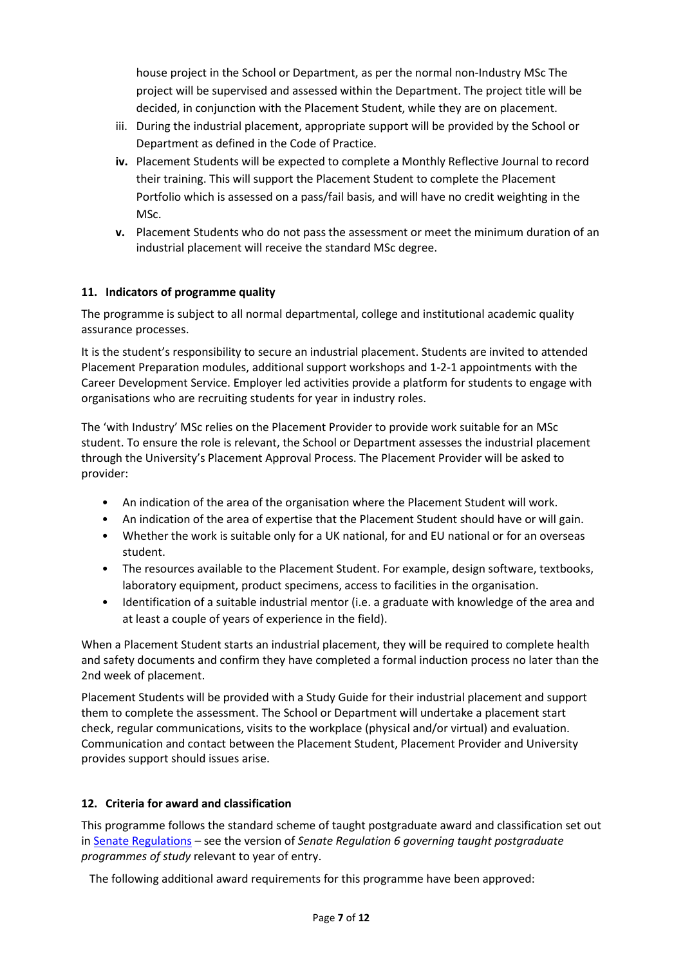house project in the School or Department, as per the normal non-Industry MSc The project will be supervised and assessed within the Department. The project title will be decided, in conjunction with the Placement Student, while they are on placement.

- iii. During the industrial placement, appropriate support will be provided by the School or Department as defined in the Code of Practice.
- **iv.** Placement Students will be expected to complete a Monthly Reflective Journal to record their training. This will support the Placement Student to complete the Placement Portfolio which is assessed on a pass/fail basis, and will have no credit weighting in the MSc.
- **v.** Placement Students who do not pass the assessment or meet the minimum duration of an industrial placement will receive the standard MSc degree.

# **11. Indicators of programme quality**

The programme is subject to all normal departmental, college and institutional academic quality assurance processes.

It is the student's responsibility to secure an industrial placement. Students are invited to attended Placement Preparation modules, additional support workshops and 1-2-1 appointments with the Career Development Service. Employer led activities provide a platform for students to engage with organisations who are recruiting students for year in industry roles.

The 'with Industry' MSc relies on the Placement Provider to provide work suitable for an MSc student. To ensure the role is relevant, the School or Department assesses the industrial placement through the University's Placement Approval Process. The Placement Provider will be asked to provider:

- An indication of the area of the organisation where the Placement Student will work.
- An indication of the area of expertise that the Placement Student should have or will gain.
- Whether the work is suitable only for a UK national, for and EU national or for an overseas student.
- The resources available to the Placement Student. For example, design software, textbooks, laboratory equipment, product specimens, access to facilities in the organisation.
- Identification of a suitable industrial mentor (i.e. a graduate with knowledge of the area and at least a couple of years of experience in the field).

When a Placement Student starts an industrial placement, they will be required to complete health and safety documents and confirm they have completed a formal induction process no later than the 2nd week of placement.

Placement Students will be provided with a Study Guide for their industrial placement and support them to complete the assessment. The School or Department will undertake a placement start check, regular communications, visits to the workplace (physical and/or virtual) and evaluation. Communication and contact between the Placement Student, Placement Provider and University provides support should issues arise.

# **12. Criteria for award and classification**

This programme follows the standard scheme of taught postgraduate award and classification set out i[n Senate Regulations](http://www.le.ac.uk/senate-regulations) – see the version of *Senate Regulation 6 governing taught postgraduate programmes of study* relevant to year of entry.

The following additional award requirements for this programme have been approved: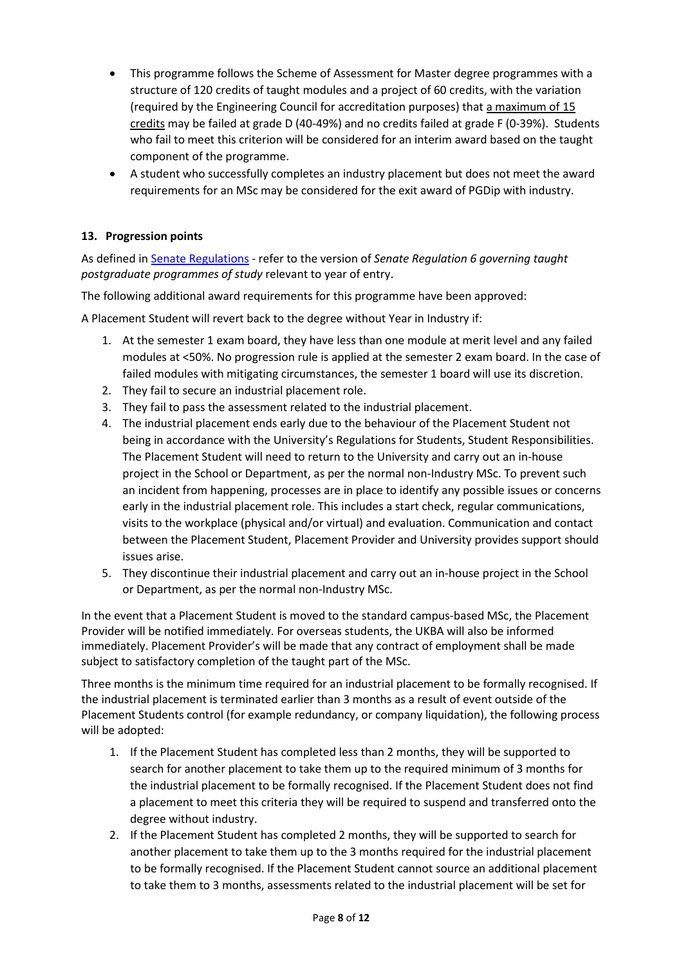- This programme follows the Scheme of Assessment for Master degree programmes with a structure of 120 credits of taught modules and a project of 60 credits, with the variation (required by the Engineering Council for accreditation purposes) that a maximum of 15 credits may be failed at grade D (40-49%) and no credits failed at grade F (0-39%). Students who fail to meet this criterion will be considered for an interim award based on the taught component of the programme.
- A student who successfully completes an industry placement but does not meet the award requirements for an MSc may be considered for the exit award of PGDip with industry.

# **13. Progression points**

As defined i[n Senate Regulations](http://www.le.ac.uk/senate-regulation6) - refer to the version of *Senate Regulation 6 governing taught postgraduate programmes of study* relevant to year of entry.

The following additional award requirements for this programme have been approved:

A Placement Student will revert back to the degree without Year in Industry if:

- 1. At the semester 1 exam board, they have less than one module at merit level and any failed modules at <50%. No progression rule is applied at the semester 2 exam board. In the case of failed modules with mitigating circumstances, the semester 1 board will use its discretion.
- 2. They fail to secure an industrial placement role.
- 3. They fail to pass the assessment related to the industrial placement.
- 4. The industrial placement ends early due to the behaviour of the Placement Student not being in accordance with the University's Regulations for Students, Student Responsibilities. The Placement Student will need to return to the University and carry out an in-house project in the School or Department, as per the normal non-Industry MSc. To prevent such an incident from happening, processes are in place to identify any possible issues or concerns early in the industrial placement role. This includes a start check, regular communications, visits to the workplace (physical and/or virtual) and evaluation. Communication and contact between the Placement Student, Placement Provider and University provides support should issues arise.
- 5. They discontinue their industrial placement and carry out an in-house project in the School or Department, as per the normal non-Industry MSc.

In the event that a Placement Student is moved to the standard campus-based MSc, the Placement Provider will be notified immediately. For overseas students, the UKBA will also be informed immediately. Placement Provider's will be made that any contract of employment shall be made subject to satisfactory completion of the taught part of the MSc.

Three months is the minimum time required for an industrial placement to be formally recognised. If the industrial placement is terminated earlier than 3 months as a result of event outside of the Placement Students control (for example redundancy, or company liquidation), the following process will be adopted:

- 1. If the Placement Student has completed less than 2 months, they will be supported to search for another placement to take them up to the required minimum of 3 months for the industrial placement to be formally recognised. If the Placement Student does not find a placement to meet this criteria they will be required to suspend and transferred onto the degree without industry.
- 2. If the Placement Student has completed 2 months, they will be supported to search for another placement to take them up to the 3 months required for the industrial placement to be formally recognised. If the Placement Student cannot source an additional placement to take them to 3 months, assessments related to the industrial placement will be set for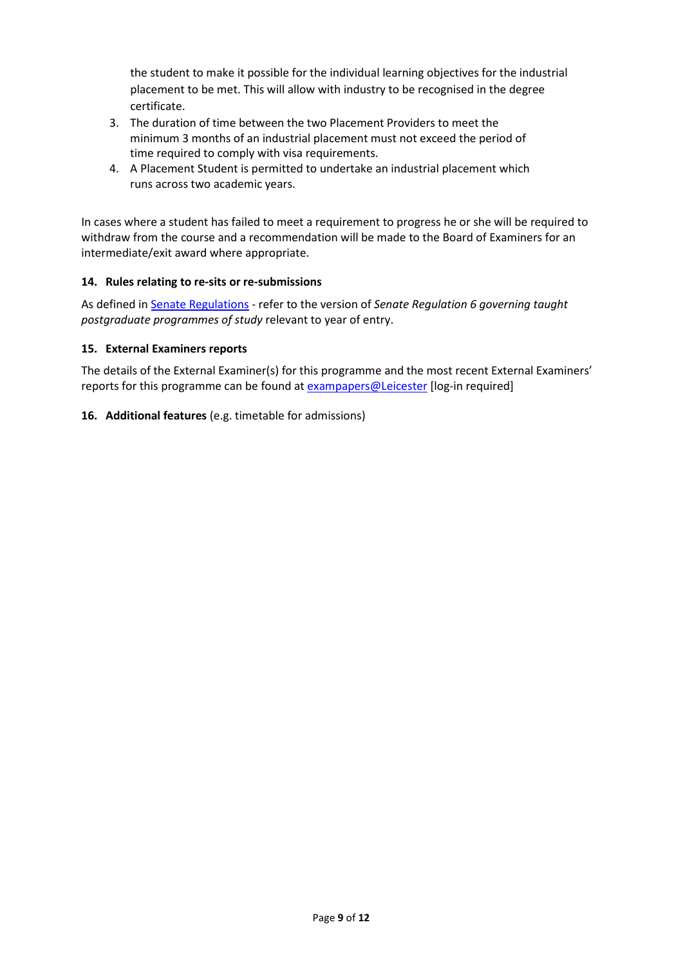the student to make it possible for the individual learning objectives for the industrial placement to be met. This will allow with industry to be recognised in the degree certificate.

- 3. The duration of time between the two Placement Providers to meet the minimum 3 months of an industrial placement must not exceed the period of time required to comply with visa requirements.
- 4. A Placement Student is permitted to undertake an industrial placement which runs across two academic years.

In cases where a student has failed to meet a requirement to progress he or she will be required to withdraw from the course and a recommendation will be made to the Board of Examiners for an intermediate/exit award where appropriate.

### **14. Rules relating to re-sits or re-submissions**

As defined i[n Senate Regulations](http://www.le.ac.uk/senate-regulation6) - refer to the version of *Senate Regulation 6 governing taught postgraduate programmes of study* relevant to year of entry.

### **15. External Examiners reports**

The details of the External Examiner(s) for this programme and the most recent External Examiners' reports for this programme can be found at **exampapers@Leicester** [log-in required]

### **16. Additional features** (e.g. timetable for admissions)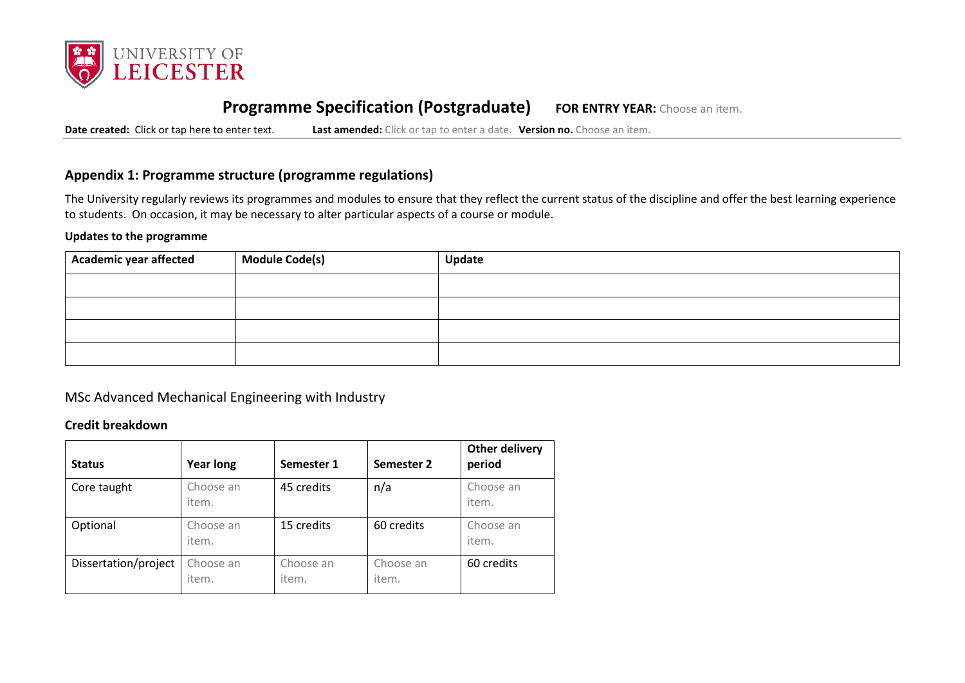

# **Programme Specification (Postgraduate) FOR ENTRY YEAR:** Choose an item.

**Date created:** Click or tap here to enter text. **Last amended:** Click or tap to enter a date. **Version no.** Choose an item.

# **Appendix 1: Programme structure (programme regulations)**

The University regularly reviews its programmes and modules to ensure that they reflect the current status of the discipline and offer the best learning experience to students. On occasion, it may be necessary to alter particular aspects of a course or module.

### **Updates to the programme**

| Academic year affected | <b>Module Code(s)</b> | Update |
|------------------------|-----------------------|--------|
|                        |                       |        |
|                        |                       |        |
|                        |                       |        |
|                        |                       |        |

# MSc Advanced Mechanical Engineering with Industry

# **Credit breakdown**

| <b>Status</b>        | <b>Year long</b>   | Semester 1         | Semester 2         | <b>Other delivery</b><br>period |
|----------------------|--------------------|--------------------|--------------------|---------------------------------|
| Core taught          | Choose an<br>item. | 45 credits         | n/a                | Choose an<br>item.              |
| Optional             | Choose an<br>item. | 15 credits         | 60 credits         | Choose an<br>item.              |
| Dissertation/project | Choose an<br>item. | Choose an<br>item. | Choose an<br>item. | 60 credits                      |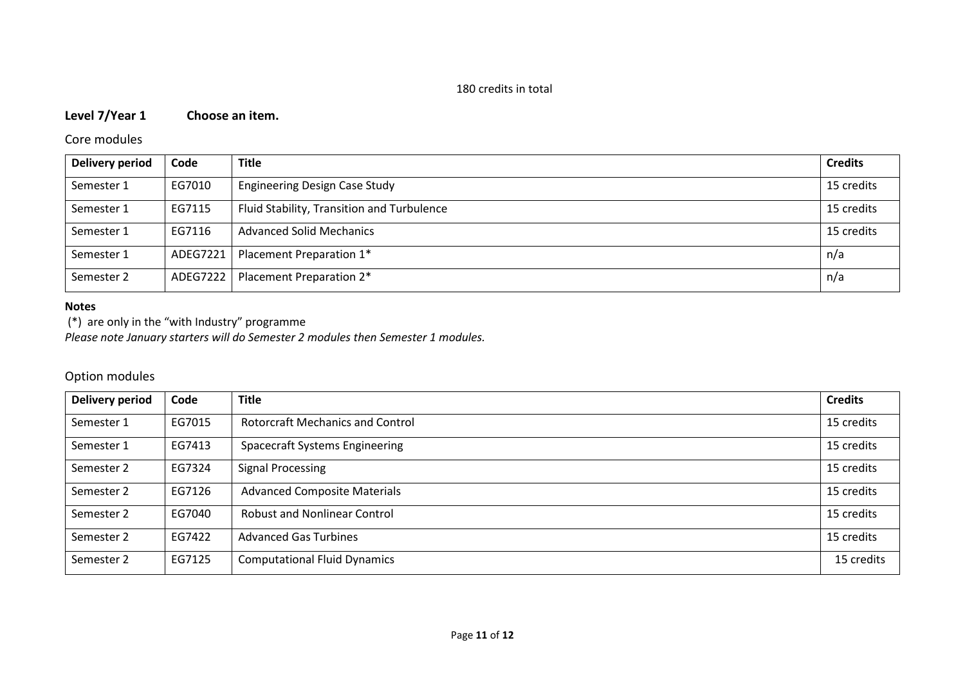### 180 credits in total

# **Level 7/Year 1 Choose an item.**

# Core modules

| Delivery period | Code     | <b>Title</b>                               | <b>Credits</b> |
|-----------------|----------|--------------------------------------------|----------------|
| Semester 1      | EG7010   | <b>Engineering Design Case Study</b>       | 15 credits     |
| Semester 1      | EG7115   | Fluid Stability, Transition and Turbulence | 15 credits     |
| Semester 1      | EG7116   | <b>Advanced Solid Mechanics</b>            | 15 credits     |
| Semester 1      | ADEG7221 | Placement Preparation 1*                   | n/a            |
| Semester 2      | ADEG7222 | Placement Preparation 2*                   | n/a            |

### **Notes**

(\*) are only in the "with Industry" programme

*Please note January starters will do Semester 2 modules then Semester 1 modules.*

# Option modules

| Delivery period | Code   | <b>Title</b>                            | <b>Credits</b> |
|-----------------|--------|-----------------------------------------|----------------|
| Semester 1      | EG7015 | <b>Rotorcraft Mechanics and Control</b> | 15 credits     |
| Semester 1      | EG7413 | <b>Spacecraft Systems Engineering</b>   | 15 credits     |
| Semester 2      | EG7324 | Signal Processing                       | 15 credits     |
| Semester 2      | EG7126 | <b>Advanced Composite Materials</b>     | 15 credits     |
| Semester 2      | EG7040 | <b>Robust and Nonlinear Control</b>     | 15 credits     |
| Semester 2      | EG7422 | <b>Advanced Gas Turbines</b>            | 15 credits     |
| Semester 2      | EG7125 | <b>Computational Fluid Dynamics</b>     | 15 credits     |